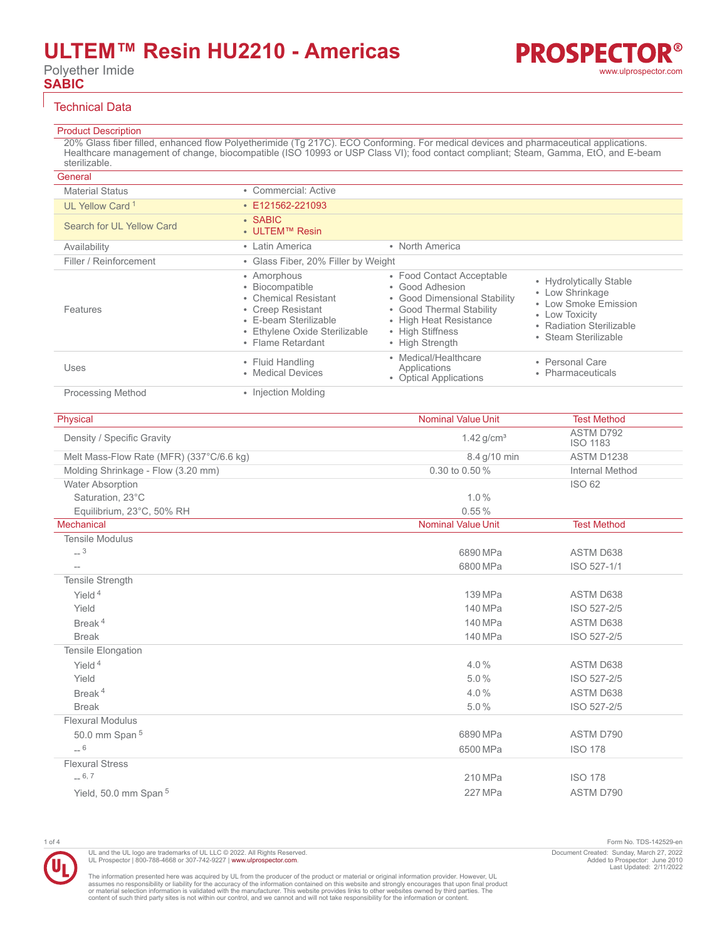# **ULTEM™ Resin HU2210 - Americas**

Polyether Imide **SABIC**

### Technical Data

## Product Description

20% Glass fiber filled, enhanced flow Polyetherimide (Tg 217C). ECO Conforming. For medical devices and pharmaceutical applications. Healthcare management of change, biocompatible (ISO 10993 or USP Class VI); food contact compliant; Steam, Gamma, EtO, and E-beam sterilizable.

| General                     |                                                                                                                                                            |                                                                                                                                                                           |                                                                                                                                             |
|-----------------------------|------------------------------------------------------------------------------------------------------------------------------------------------------------|---------------------------------------------------------------------------------------------------------------------------------------------------------------------------|---------------------------------------------------------------------------------------------------------------------------------------------|
| <b>Material Status</b>      | • Commercial: Active                                                                                                                                       |                                                                                                                                                                           |                                                                                                                                             |
| UL Yellow Card <sup>1</sup> | $\cdot$ E121562-221093                                                                                                                                     |                                                                                                                                                                           |                                                                                                                                             |
| Search for UL Yellow Card   | $\cdot$ SABIC<br>• ULTEM™ Resin                                                                                                                            |                                                                                                                                                                           |                                                                                                                                             |
| Availability                | • Latin America                                                                                                                                            | • North America                                                                                                                                                           |                                                                                                                                             |
| Filler / Reinforcement      | • Glass Fiber, 20% Filler by Weight                                                                                                                        |                                                                                                                                                                           |                                                                                                                                             |
| Features                    | • Amorphous<br>• Biocompatible<br>• Chemical Resistant<br>• Creep Resistant<br>• E-beam Sterilizable<br>• Ethylene Oxide Sterilizable<br>• Flame Retardant | • Food Contact Acceptable<br>• Good Adhesion<br>• Good Dimensional Stability<br>• Good Thermal Stability<br>• High Heat Resistance<br>• High Stiffness<br>• High Strength | • Hydrolytically Stable<br>• Low Shrinkage<br>• Low Smoke Emission<br>• Low Toxicity<br>• Radiation Sterilizable<br>Steam Sterilizable<br>٠ |
| Uses                        | • Fluid Handling<br>• Medical Devices                                                                                                                      | • Medical/Healthcare<br>Applications<br>• Optical Applications                                                                                                            | • Personal Care<br>Pharmaceuticals<br>٠                                                                                                     |
| <b>Processing Method</b>    | • Injection Molding                                                                                                                                        |                                                                                                                                                                           |                                                                                                                                             |

| ASTM D792<br>Density / Specific Gravity<br>$1.42$ g/cm <sup>3</sup><br><b>ISO 1183</b><br>Melt Mass-Flow Rate (MFR) (337°C/6.6 kg)<br>8.4 g/10 min<br>ASTM D1238<br>0.30 to 0.50 %<br>Molding Shrinkage - Flow (3.20 mm)<br><b>Internal Method</b><br><b>Water Absorption</b><br>ISO 62<br>Saturation, 23°C<br>1.0%<br>Equilibrium, 23°C, 50% RH<br>0.55%<br>Mechanical<br><b>Nominal Value Unit</b><br><b>Test Method</b><br><b>Tensile Modulus</b><br>$-3$<br>6890 MPa<br>ASTM D638<br>ISO 527-1/1<br>6800 MPa<br>$-$<br>Tensile Strength<br>Yield <sup>4</sup><br>139 MPa<br>ASTM D638<br>Yield<br>140 MPa<br>ISO 527-2/5<br>Break <sup>4</sup><br>140 MPa<br>ASTM D638<br><b>Break</b><br>140 MPa<br>ISO 527-2/5<br>Tensile Elongation<br>Yield <sup>4</sup><br>4.0%<br>ASTM D638<br>5.0%<br>Yield<br>ISO 527-2/5<br>Break <sup>4</sup><br>4.0%<br>ASTM D638<br><b>Break</b><br>5.0%<br>ISO 527-2/5<br><b>Flexural Modulus</b><br>50.0 mm Span 5<br>6890 MPa<br>ASTM D790<br>$-6$<br>6500 MPa<br><b>ISO 178</b><br><b>Flexural Stress</b><br>$-6, 7$<br><b>ISO 178</b><br>210 MPa | Physical                         | <b>Nominal Value Unit</b> | <b>Test Method</b> |
|---------------------------------------------------------------------------------------------------------------------------------------------------------------------------------------------------------------------------------------------------------------------------------------------------------------------------------------------------------------------------------------------------------------------------------------------------------------------------------------------------------------------------------------------------------------------------------------------------------------------------------------------------------------------------------------------------------------------------------------------------------------------------------------------------------------------------------------------------------------------------------------------------------------------------------------------------------------------------------------------------------------------------------------------------------------------------------------|----------------------------------|---------------------------|--------------------|
|                                                                                                                                                                                                                                                                                                                                                                                                                                                                                                                                                                                                                                                                                                                                                                                                                                                                                                                                                                                                                                                                                       |                                  |                           |                    |
|                                                                                                                                                                                                                                                                                                                                                                                                                                                                                                                                                                                                                                                                                                                                                                                                                                                                                                                                                                                                                                                                                       |                                  |                           |                    |
|                                                                                                                                                                                                                                                                                                                                                                                                                                                                                                                                                                                                                                                                                                                                                                                                                                                                                                                                                                                                                                                                                       |                                  |                           |                    |
|                                                                                                                                                                                                                                                                                                                                                                                                                                                                                                                                                                                                                                                                                                                                                                                                                                                                                                                                                                                                                                                                                       |                                  |                           |                    |
|                                                                                                                                                                                                                                                                                                                                                                                                                                                                                                                                                                                                                                                                                                                                                                                                                                                                                                                                                                                                                                                                                       |                                  |                           |                    |
|                                                                                                                                                                                                                                                                                                                                                                                                                                                                                                                                                                                                                                                                                                                                                                                                                                                                                                                                                                                                                                                                                       |                                  |                           |                    |
|                                                                                                                                                                                                                                                                                                                                                                                                                                                                                                                                                                                                                                                                                                                                                                                                                                                                                                                                                                                                                                                                                       |                                  |                           |                    |
|                                                                                                                                                                                                                                                                                                                                                                                                                                                                                                                                                                                                                                                                                                                                                                                                                                                                                                                                                                                                                                                                                       |                                  |                           |                    |
|                                                                                                                                                                                                                                                                                                                                                                                                                                                                                                                                                                                                                                                                                                                                                                                                                                                                                                                                                                                                                                                                                       |                                  |                           |                    |
|                                                                                                                                                                                                                                                                                                                                                                                                                                                                                                                                                                                                                                                                                                                                                                                                                                                                                                                                                                                                                                                                                       |                                  |                           |                    |
|                                                                                                                                                                                                                                                                                                                                                                                                                                                                                                                                                                                                                                                                                                                                                                                                                                                                                                                                                                                                                                                                                       |                                  |                           |                    |
|                                                                                                                                                                                                                                                                                                                                                                                                                                                                                                                                                                                                                                                                                                                                                                                                                                                                                                                                                                                                                                                                                       |                                  |                           |                    |
|                                                                                                                                                                                                                                                                                                                                                                                                                                                                                                                                                                                                                                                                                                                                                                                                                                                                                                                                                                                                                                                                                       |                                  |                           |                    |
|                                                                                                                                                                                                                                                                                                                                                                                                                                                                                                                                                                                                                                                                                                                                                                                                                                                                                                                                                                                                                                                                                       |                                  |                           |                    |
|                                                                                                                                                                                                                                                                                                                                                                                                                                                                                                                                                                                                                                                                                                                                                                                                                                                                                                                                                                                                                                                                                       |                                  |                           |                    |
|                                                                                                                                                                                                                                                                                                                                                                                                                                                                                                                                                                                                                                                                                                                                                                                                                                                                                                                                                                                                                                                                                       |                                  |                           |                    |
|                                                                                                                                                                                                                                                                                                                                                                                                                                                                                                                                                                                                                                                                                                                                                                                                                                                                                                                                                                                                                                                                                       |                                  |                           |                    |
|                                                                                                                                                                                                                                                                                                                                                                                                                                                                                                                                                                                                                                                                                                                                                                                                                                                                                                                                                                                                                                                                                       |                                  |                           |                    |
|                                                                                                                                                                                                                                                                                                                                                                                                                                                                                                                                                                                                                                                                                                                                                                                                                                                                                                                                                                                                                                                                                       |                                  |                           |                    |
|                                                                                                                                                                                                                                                                                                                                                                                                                                                                                                                                                                                                                                                                                                                                                                                                                                                                                                                                                                                                                                                                                       |                                  |                           |                    |
|                                                                                                                                                                                                                                                                                                                                                                                                                                                                                                                                                                                                                                                                                                                                                                                                                                                                                                                                                                                                                                                                                       |                                  |                           |                    |
|                                                                                                                                                                                                                                                                                                                                                                                                                                                                                                                                                                                                                                                                                                                                                                                                                                                                                                                                                                                                                                                                                       |                                  |                           |                    |
|                                                                                                                                                                                                                                                                                                                                                                                                                                                                                                                                                                                                                                                                                                                                                                                                                                                                                                                                                                                                                                                                                       |                                  |                           |                    |
|                                                                                                                                                                                                                                                                                                                                                                                                                                                                                                                                                                                                                                                                                                                                                                                                                                                                                                                                                                                                                                                                                       |                                  |                           |                    |
|                                                                                                                                                                                                                                                                                                                                                                                                                                                                                                                                                                                                                                                                                                                                                                                                                                                                                                                                                                                                                                                                                       |                                  |                           |                    |
|                                                                                                                                                                                                                                                                                                                                                                                                                                                                                                                                                                                                                                                                                                                                                                                                                                                                                                                                                                                                                                                                                       | Yield, 50.0 mm Span <sup>5</sup> | 227 MPa                   | ASTM D790          |

UL and the UL logo are trademarks of UL LLC © 2022. All Rights Reserved. UL Prospector | 800-788-4668 or 307-742-9227 | [www.ulprospector.com](http://www.ulprospector.com).

The information presented here was acquired by UL from the producer of the product or material or original information provider. However, UL<br>assumes no responsibility or liability for the accuracy of the information contai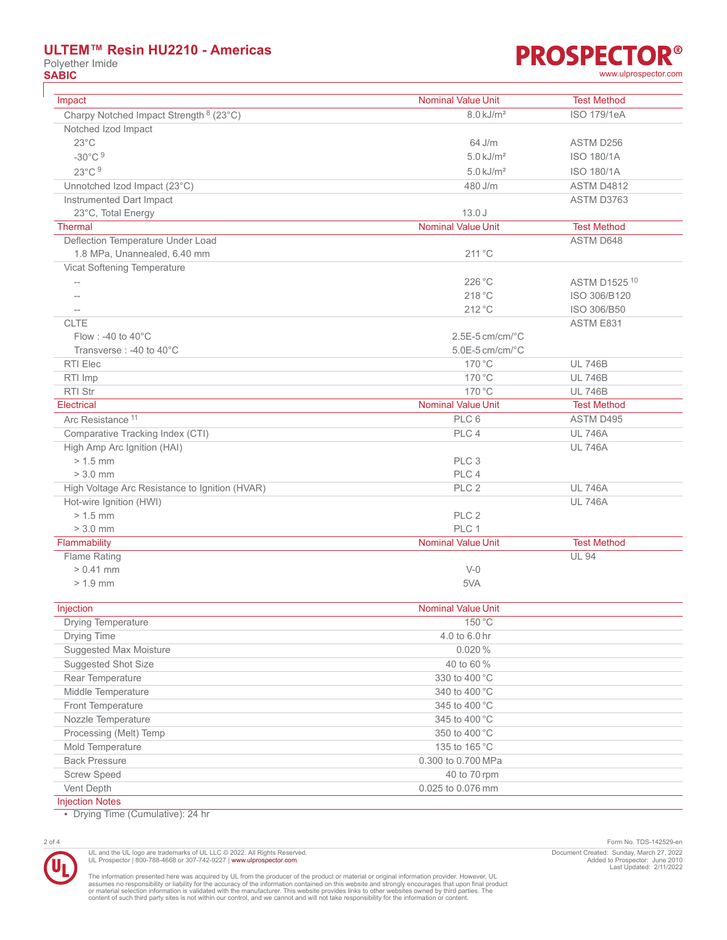# **ULTEM™ Resin HU2210 - Americas**

Polyether Imide<br> **SABIC** 



| Impact                                             | <b>Nominal Value Unit</b> | <b>Test Method</b> |
|----------------------------------------------------|---------------------------|--------------------|
| Charpy Notched Impact Strength <sup>8</sup> (23°C) | 8.0 kJ/m <sup>2</sup>     | <b>ISO 179/1eA</b> |
| Notched Izod Impact                                |                           |                    |
| $23^{\circ}$ C                                     | 64 J/m                    | ASTM D256          |
| $-30^{\circ}$ C $9$                                | $5.0 \text{ kJ/m}^2$      | ISO 180/1A         |
| 23°C 9                                             | $5.0$ kJ/m <sup>2</sup>   | ISO 180/1A         |
| Unnotched Izod Impact (23°C)                       | 480 J/m                   | ASTM D4812         |
| Instrumented Dart Impact                           |                           | ASTM D3763         |
| 23°C, Total Energy                                 | 13.0J                     |                    |
| <b>Thermal</b>                                     | Nominal Value Unit        | <b>Test Method</b> |
| Deflection Temperature Under Load                  |                           | <b>ASTM D648</b>   |
| 1.8 MPa, Unannealed, 6.40 mm                       | 211 °C                    |                    |
| Vicat Softening Temperature                        |                           |                    |
| $\overline{\phantom{a}}$                           | 226 °C                    | ASTM D1525 10      |
| $-$                                                | 218 °C                    | ISO 306/B120       |
| $\qquad \qquad -$                                  | $212^{\circ}$ C           | ISO 306/B50        |
| <b>CLTE</b>                                        |                           | ASTM E831          |
| Flow : -40 to $40^{\circ}$ C                       | $2.5E-5$ cm/cm/ $°C$      |                    |
| Transverse: -40 to 40°C                            | $5.0E-5$ cm/cm/ $°C$      |                    |
| RTI Elec                                           | 170 °C                    | <b>UL 746B</b>     |
| RTI Imp                                            | 170 °C                    | <b>UL 746B</b>     |
| <b>RTI Str</b>                                     | 170 °C                    | <b>UL 746B</b>     |
| Electrical                                         | <b>Nominal Value Unit</b> | <b>Test Method</b> |
| Arc Resistance <sup>11</sup>                       | PLC <sub>6</sub>          | ASTM D495          |
| Comparative Tracking Index (CTI)                   | PLC 4                     | <b>UL 746A</b>     |
| High Amp Arc Ignition (HAI)                        |                           | <b>UL 746A</b>     |
| $> 1.5$ mm                                         | PLC <sub>3</sub>          |                    |
| $> 3.0$ mm                                         | PLC 4                     |                    |
| High Voltage Arc Resistance to Ignition (HVAR)     | PLC <sub>2</sub>          | <b>UL 746A</b>     |
| Hot-wire Ignition (HWI)                            |                           | <b>UL 746A</b>     |
| $> 1.5$ mm                                         | PLC <sub>2</sub>          |                    |
| $> 3.0$ mm                                         | PLC 1                     |                    |
| Flammability                                       | <b>Nominal Value Unit</b> | <b>Test Method</b> |
| Flame Rating                                       |                           | <b>UL 94</b>       |
| $> 0.41$ mm                                        | $V-0$                     |                    |
| $> 1.9$ mm                                         | 5VA                       |                    |
| Injection                                          | <b>Nominal Value Unit</b> |                    |
| Drying Temperature                                 | 150 °C                    |                    |
| Drying Time                                        | 4.0 to 6.0 hr             |                    |
| <b>Suggested Max Moisture</b>                      | 0.020%                    |                    |
| Suggested Shot Size                                | 40 to 60 %                |                    |
| Rear Temperature                                   | 330 to 400 °C             |                    |
| Middle Temperature                                 | 340 to 400 °C             |                    |
| Front Temperature                                  | 345 to 400 °C             |                    |
| Nozzle Temperature                                 | 345 to 400 °C             |                    |
| Processing (Melt) Temp                             | 350 to 400 °C             |                    |
| Mold Temperature                                   | 135 to 165 °C             |                    |

Vent Depth 0.025 to 0.076 mm Injection Notes

• Drying Time (Cumulative): 24 hr



UL and the UL logo are trademarks of UL LLC © 2022. All Rights Reserved.<br>UL Prospector | 800-788-4668 or 307-742-9227 | [www.ulprospector.com](http://www.ulprospector.com).

The information presented here was acquired by UL from the producer of the product or material or original information provider. However, UL<br>assumes no responsibility or liability for the accuracy of the information contai

Back Pressure 2012 2013 2014 12:30 12:30 12:30 12:30 12:30 12:30 12:30 12:30 12:30 12:30 12:30 12:30 12:30 12:30 12:30 12:30 12:30 12:30 12:30 12:30 12:30 12:30 12:30 12:30 12:30 12:30 12:30 12:30 12:30 12:30 12:30 12:30 1 Screw Speed 40 to 70 rpm

2 of 4 Form No. TDS-142529-en Document Created: Sunday, March 27, 2022 Added to Prospector: June 2010 Last Updated: 2/11/2022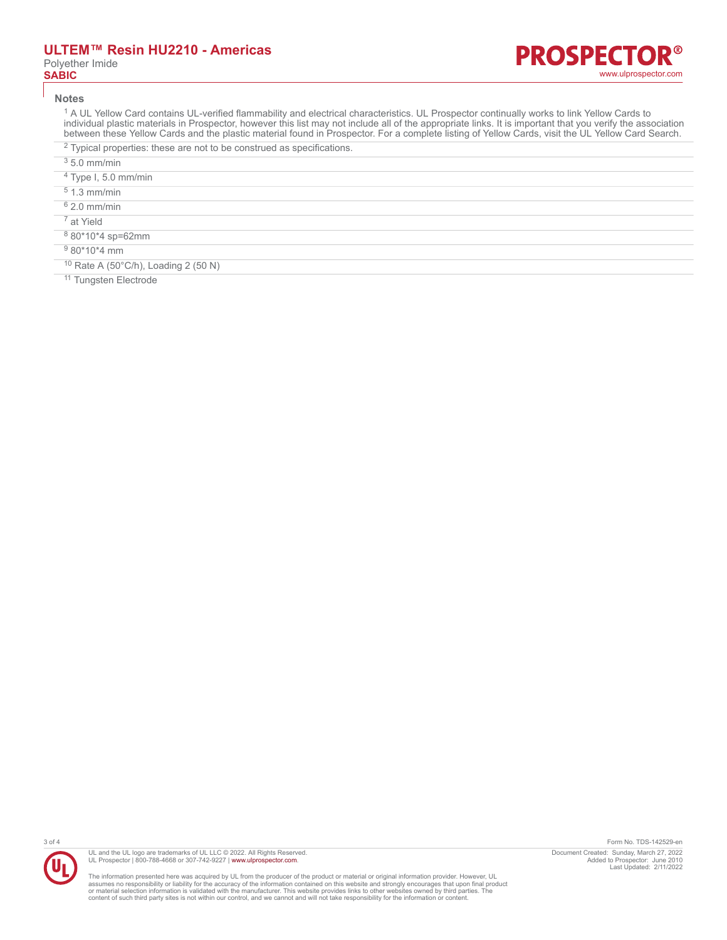#### **Notes**

<sup>1</sup> A UL Yellow Card contains UL-verified flammability and electrical characteristics. UL Prospector continually works to link Yellow Cards to individual plastic materials in Prospector, however this list may not include all of the appropriate links. It is important that you verify the association between these Yellow Cards and the plastic material found in Prospector. For a complete listing of Yellow Cards, visit the UL Yellow Card Search.

- $2$  Typical properties: these are not to be construed as specifications.
- $35.0$  mm/min
- 4 Type I, 5.0 mm/min
- 5 1.3 mm/min
- 6 2.0 mm/min
- 7 at Yield
- 8 80\*10\*4 sp=62mm

9 80\*10\*4 mm

<sup>10</sup> Rate A (50°C/h), Loading 2 (50 N)

11 Tungsten Electrode



UL and the UL logo are trademarks of UL LLC © 2022. All Rights Reserved. UL Prospector | 800-788-4668 or 307-742-9227 | [www.ulprospector.com](http://www.ulprospector.com).

The information presented here was acquired by UL from the producer of the product or material or original information provider. However, UL<br>assumes no responsibility or liability for the accuracy of the information contai

3 of 4 Form No. TDS-142529-en Document Created: Sunday, March 27, 2022 Added to Prospector: June 2010 Last Updated: 2/11/2022